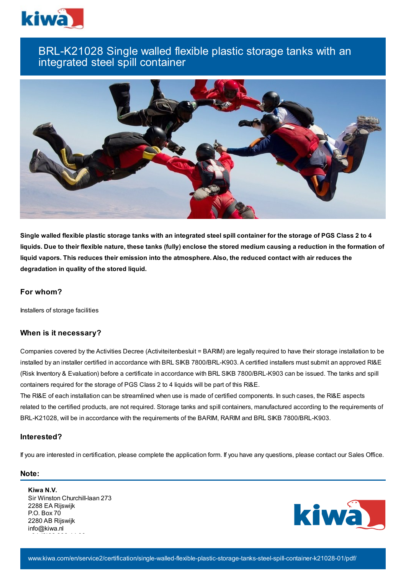

# BRL-K21028 Single walled flexible plastic storage tanks with an integrated steel spill container



Single walled flexible plastic storage tanks with an integrated steel spill container for the storage of PGS Class 2 to 4 liquids. Due to their flexible nature, these tanks (fully) enclose the stored medium causing a reduction in the formation of liquid vapors. This reduces their emission into the atmosphere. Also, the reduced contact with air reduces the **degradation in quality of the stored liquid.**

## **For whom?**

Installers of storage facilities

## **When is it necessary?**

Companies covered by the Activities Decree (Activiteitenbesluit = BARIM) are legally required to have their storage installation to be installed by an installer certified in accordance with BRL SIKB 7800/BRL-K903. A certified installers must submit an approved RI&E (Risk Inventory & Evaluation) before a certificate in accordance with BRL SIKB 7800/BRL-K903 can be issued. The tanks and spill containers required for the storage of PGS Class 2 to 4 liquids will be part of this RI&E.

The RI&E of each installation can be streamlined when use is made of certified components. In such cases, the RI&E aspects related to the certified products, are not required. Storage tanks and spill containers, manufactured according to the requirements of BRL-K21028, will be in accordance with the requirements of the BARIM, RARIM and BRL SIKB 7800/BRL-K903.

#### **Interested?**

If you are interested in certification, please complete the application form. If you have any questions, please contact our Sales Office.

#### **Note:**

**Kiwa N.V.** Sir Winston Churchill-laan 273 2288 EA Rijswijk P.O. Box 70 2280 AB Rijswijk info@kiwa.nl